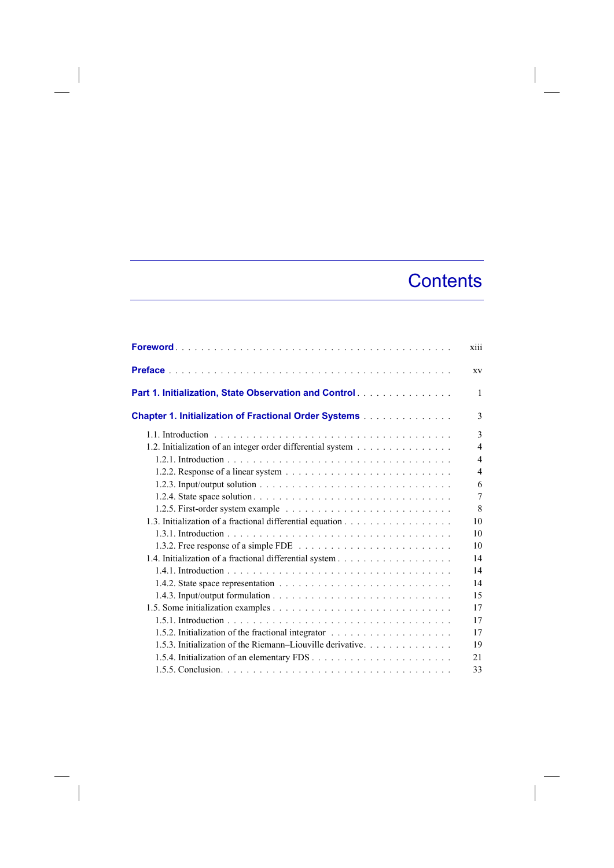## **Contents**

 $\overline{\phantom{a}}$ 

| xiii                                                                          |   |
|-------------------------------------------------------------------------------|---|
| XV                                                                            |   |
| Part 1. Initialization, State Observation and Control.                        | 1 |
| 3<br><b>Chapter 1. Initialization of Fractional Order Systems</b>             |   |
| 3                                                                             |   |
| 1.2. Initialization of an integer order differential system<br>$\overline{4}$ |   |
| $\overline{4}$                                                                |   |
| $\overline{4}$                                                                |   |
| 6                                                                             |   |
| $\tau$                                                                        |   |
| 8                                                                             |   |
| 10                                                                            |   |
| 10                                                                            |   |
| 10                                                                            |   |
| 14                                                                            |   |
| 14                                                                            |   |
| 14                                                                            |   |
| 15                                                                            |   |
| 17                                                                            |   |
| 17                                                                            |   |
| 17                                                                            |   |
| 1.5.3. Initialization of the Riemann-Liouville derivative<br>19               |   |
| 21                                                                            |   |
| 33                                                                            |   |

 $\begin{array}{c} \hline \end{array}$ 

 $\overline{\phantom{a}}$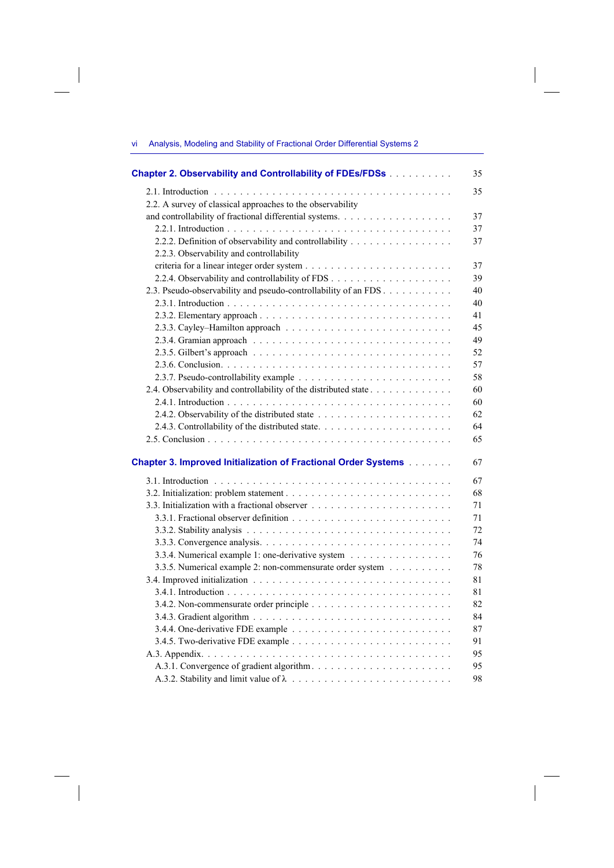vi Analysis, Modeling and Stability of Fractional Order Differential Systems 2

 $\overline{\phantom{a}}$ 

 $\overline{\phantom{a}}$ 

 $\begin{array}{c} \hline \end{array}$ 

| Chapter 2. Observability and Controllability of FDEs/FDSs                    | 35 |
|------------------------------------------------------------------------------|----|
|                                                                              | 35 |
| 2.2. A survey of classical approaches to the observability                   |    |
| and controllability of fractional differential systems.                      | 37 |
|                                                                              | 37 |
| 2.2.2. Definition of observability and controllability                       | 37 |
| 2.2.3. Observability and controllability                                     |    |
|                                                                              | 37 |
|                                                                              | 39 |
| 2.3. Pseudo-observability and pseudo-controllability of an FDS               | 40 |
|                                                                              | 40 |
|                                                                              | 41 |
|                                                                              | 45 |
|                                                                              | 49 |
|                                                                              |    |
|                                                                              | 52 |
|                                                                              | 57 |
|                                                                              | 58 |
| 2.4. Observability and controllability of the distributed state              | 60 |
|                                                                              | 60 |
|                                                                              | 62 |
|                                                                              | 64 |
|                                                                              | 65 |
| <b>Chapter 3. Improved Initialization of Fractional Order Systems [1996]</b> | 67 |
|                                                                              | 67 |
|                                                                              | 68 |
|                                                                              | 71 |
|                                                                              | 71 |
|                                                                              | 72 |
|                                                                              | 74 |
| 3.3.4. Numerical example 1: one-derivative system                            | 76 |
| 3.3.5. Numerical example 2: non-commensurate order system                    | 78 |
|                                                                              | 81 |
|                                                                              | 81 |
|                                                                              | 82 |
|                                                                              | 84 |
|                                                                              | 87 |
|                                                                              | 91 |
|                                                                              | 95 |
|                                                                              | 95 |
|                                                                              |    |
|                                                                              | 98 |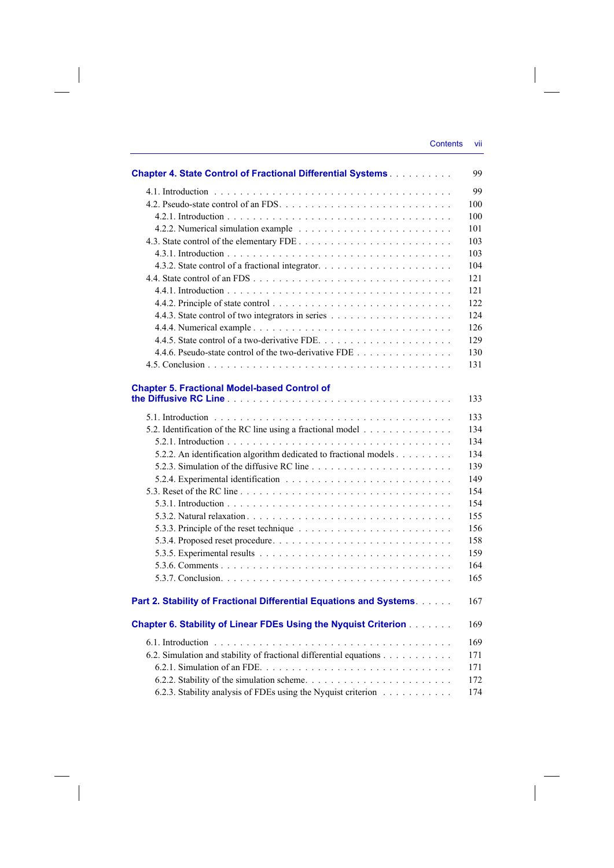| <b>Chapter 4. State Control of Fractional Differential Systems</b>                                                                      | 99  |
|-----------------------------------------------------------------------------------------------------------------------------------------|-----|
|                                                                                                                                         | 99  |
|                                                                                                                                         | 100 |
|                                                                                                                                         | 100 |
|                                                                                                                                         | 101 |
|                                                                                                                                         | 103 |
|                                                                                                                                         | 103 |
|                                                                                                                                         | 104 |
|                                                                                                                                         | 121 |
|                                                                                                                                         | 121 |
|                                                                                                                                         | 122 |
|                                                                                                                                         | 124 |
|                                                                                                                                         | 126 |
|                                                                                                                                         | 129 |
| 4.4.6. Pseudo-state control of the two-derivative FDE                                                                                   | 130 |
|                                                                                                                                         | 131 |
|                                                                                                                                         |     |
| <b>Chapter 5. Fractional Model-based Control of</b>                                                                                     | 133 |
|                                                                                                                                         | 133 |
| 5.2. Identification of the RC line using a fractional model                                                                             | 134 |
|                                                                                                                                         | 134 |
| 5.2.2. An identification algorithm dedicated to fractional models                                                                       | 134 |
|                                                                                                                                         | 139 |
|                                                                                                                                         | 149 |
|                                                                                                                                         | 154 |
|                                                                                                                                         | 154 |
|                                                                                                                                         | 155 |
|                                                                                                                                         | 156 |
|                                                                                                                                         | 158 |
| 5.3.5. Experimental results $\ldots$ , $\ldots$ , $\ldots$ , $\ldots$ , $\ldots$ , $\ldots$ , $\ldots$ , $\ldots$ , $\ldots$ , $\ldots$ | 159 |
|                                                                                                                                         | 164 |
|                                                                                                                                         | 165 |
| Part 2. Stability of Fractional Differential Equations and Systems.                                                                     | 167 |
| <b>Chapter 6. Stability of Linear FDEs Using the Nyquist Criterion</b>                                                                  | 169 |
|                                                                                                                                         | 169 |
| 6.2. Simulation and stability of fractional differential equations                                                                      | 171 |
|                                                                                                                                         | 171 |
|                                                                                                                                         | 172 |
| 6.2.3. Stability analysis of FDEs using the Nyquist criterion                                                                           | 174 |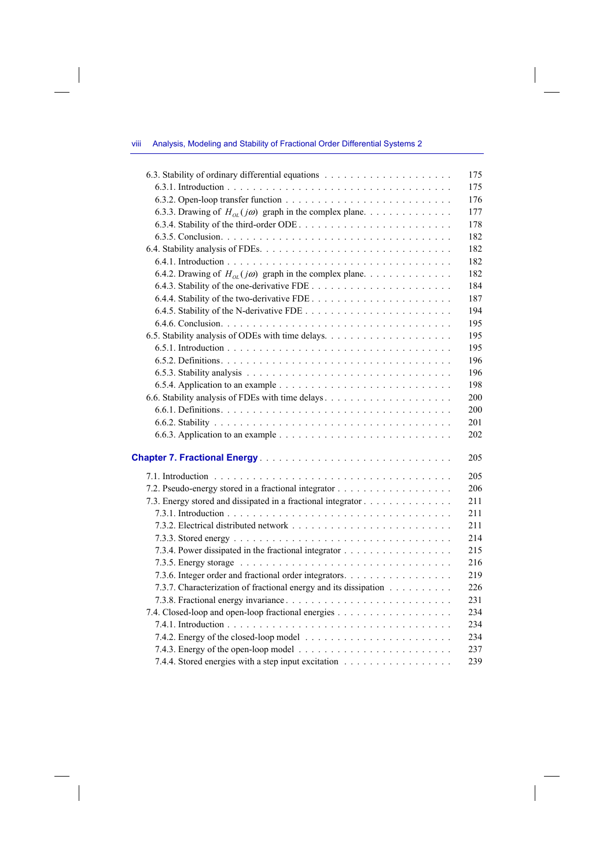## viii Analysis, Modeling and Stability of Fractional Order Differential Systems 2

|                                                                  | 175 |
|------------------------------------------------------------------|-----|
|                                                                  | 175 |
|                                                                  | 176 |
| 6.3.3. Drawing of $H_{oi}(j\omega)$ graph in the complex plane   | 177 |
|                                                                  | 178 |
|                                                                  | 182 |
|                                                                  | 182 |
|                                                                  | 182 |
| 6.4.2. Drawing of $H_{0I}(j\omega)$ graph in the complex plane   | 182 |
|                                                                  | 184 |
|                                                                  | 187 |
|                                                                  | 194 |
|                                                                  | 195 |
|                                                                  | 195 |
|                                                                  | 195 |
|                                                                  | 196 |
|                                                                  | 196 |
|                                                                  | 198 |
|                                                                  | 200 |
|                                                                  | 200 |
|                                                                  | 201 |
|                                                                  | 202 |
|                                                                  | 205 |
|                                                                  |     |
|                                                                  | 205 |
|                                                                  | 206 |
| 7.3. Energy stored and dissipated in a fractional integrator     | 211 |
|                                                                  | 211 |
|                                                                  | 211 |
|                                                                  | 214 |
|                                                                  | 215 |
|                                                                  | 216 |
| 7.3.6. Integer order and fractional order integrators.           | 219 |
| 7.3.7. Characterization of fractional energy and its dissipation | 226 |
|                                                                  | 231 |
|                                                                  | 234 |
|                                                                  | 234 |
|                                                                  | 234 |
|                                                                  | 237 |
| 7.4.4. Stored energies with a step input excitation              | 239 |

 $\overline{\phantom{a}}$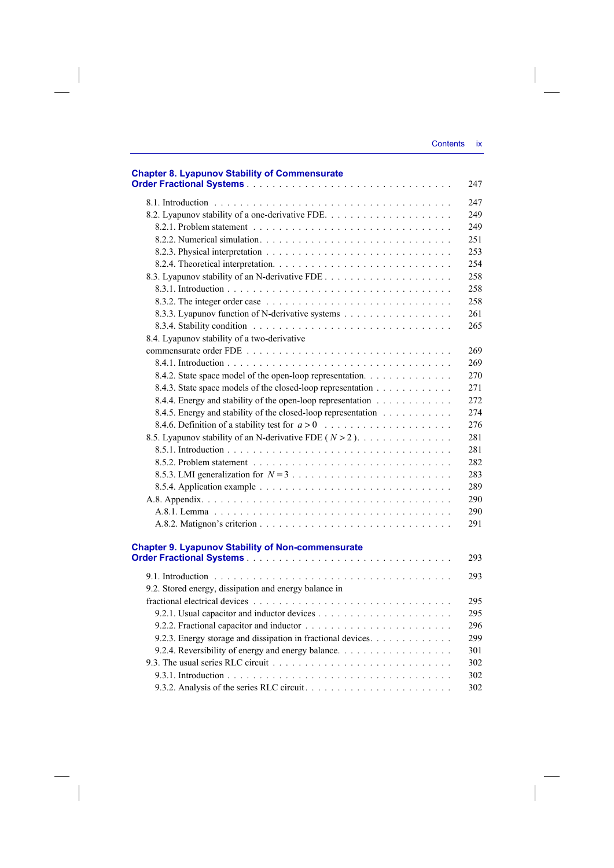| <b>Chapter 8. Lyapunov Stability of Commensurate</b>          | 247 |
|---------------------------------------------------------------|-----|
|                                                               | 247 |
|                                                               | 249 |
|                                                               | 249 |
|                                                               | 251 |
|                                                               | 253 |
|                                                               | 254 |
|                                                               | 258 |
|                                                               | 258 |
|                                                               | 258 |
| 8.3.3. Lyapunov function of N-derivative systems              | 261 |
|                                                               | 265 |
| 8.4. Lyapunov stability of a two-derivative                   |     |
|                                                               | 269 |
|                                                               | 269 |
| 8.4.2. State space model of the open-loop representation.     | 270 |
| 8.4.3. State space models of the closed-loop representation   | 271 |
| 8.4.4. Energy and stability of the open-loop representation   | 272 |
| 8.4.5. Energy and stability of the closed-loop representation | 274 |
|                                                               | 276 |
| 8.5. Lyapunov stability of an N-derivative FDE $(N > 2)$ .    | 281 |
|                                                               | 281 |
|                                                               | 282 |
|                                                               | 283 |
|                                                               | 289 |
|                                                               | 290 |
|                                                               | 290 |
|                                                               | 291 |
|                                                               |     |
| <b>Chapter 9. Lyapunov Stability of Non-commensurate</b>      |     |
|                                                               | 293 |
|                                                               | 293 |
| 9.2. Stored energy, dissipation and energy balance in         |     |
|                                                               | 295 |
|                                                               | 295 |
|                                                               | 296 |
| 9.2.3. Energy storage and dissipation in fractional devices.  | 299 |
|                                                               | 301 |
|                                                               | 302 |
|                                                               | 302 |
|                                                               | 302 |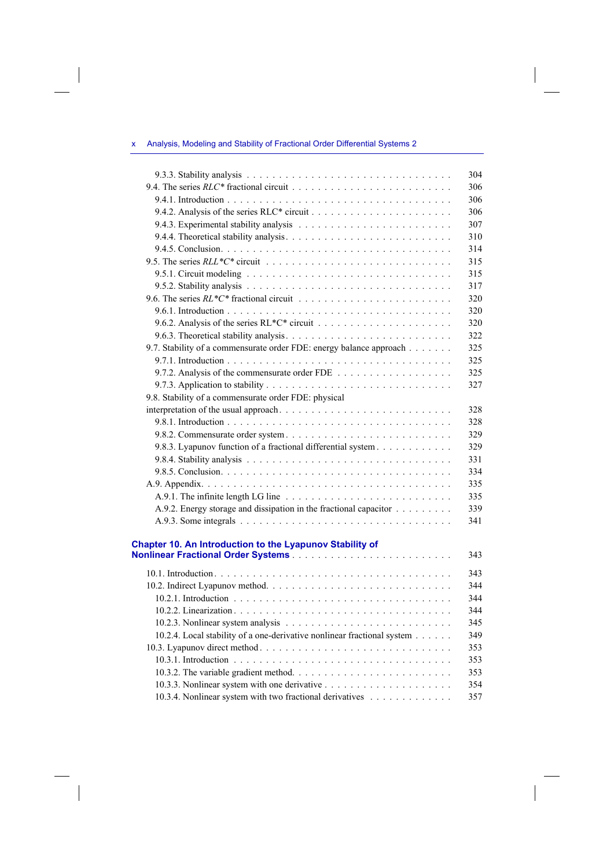## x Analysis, Modeling and Stability of Fractional Order Differential Systems 2

 $\overline{\phantom{a}}$ 

 $\overline{\phantom{a}}$ 

 $\begin{array}{c} \hline \end{array}$ 

|                                                                                                     | 304 |
|-----------------------------------------------------------------------------------------------------|-----|
|                                                                                                     | 306 |
|                                                                                                     | 306 |
|                                                                                                     | 306 |
|                                                                                                     | 307 |
|                                                                                                     | 310 |
|                                                                                                     | 314 |
|                                                                                                     | 315 |
|                                                                                                     | 315 |
|                                                                                                     | 317 |
|                                                                                                     | 320 |
|                                                                                                     | 320 |
|                                                                                                     | 320 |
|                                                                                                     | 322 |
| 9.7. Stability of a commensurate order FDE: energy balance approach                                 | 325 |
|                                                                                                     | 325 |
| 9.7.2. Analysis of the commensurate order FDE $\ldots$ , , , ,                                      | 325 |
|                                                                                                     | 327 |
| 9.8. Stability of a commensurate order FDE: physical                                                |     |
|                                                                                                     | 328 |
|                                                                                                     | 328 |
|                                                                                                     | 329 |
| 9.8.3. Lyapunov function of a fractional differential system                                        | 329 |
|                                                                                                     | 331 |
|                                                                                                     | 334 |
|                                                                                                     | 335 |
| A.9.1. The infinite length LG line $\ldots \ldots \ldots \ldots \ldots \ldots \ldots \ldots \ldots$ | 335 |
| A.9.2. Energy storage and dissipation in the fractional capacitor                                   | 339 |
|                                                                                                     | 341 |
|                                                                                                     |     |
| Chapter 10. An Introduction to the Lyapunov Stability of                                            |     |
|                                                                                                     | 343 |
|                                                                                                     |     |
|                                                                                                     | 343 |
|                                                                                                     | 344 |
|                                                                                                     | 344 |
|                                                                                                     | 344 |
|                                                                                                     | 345 |
| 10.2.4. Local stability of a one-derivative nonlinear fractional system                             | 349 |
|                                                                                                     | 353 |
|                                                                                                     | 353 |
|                                                                                                     | 353 |
|                                                                                                     | 354 |
| 10.3.4. Nonlinear system with two fractional derivatives                                            | 357 |